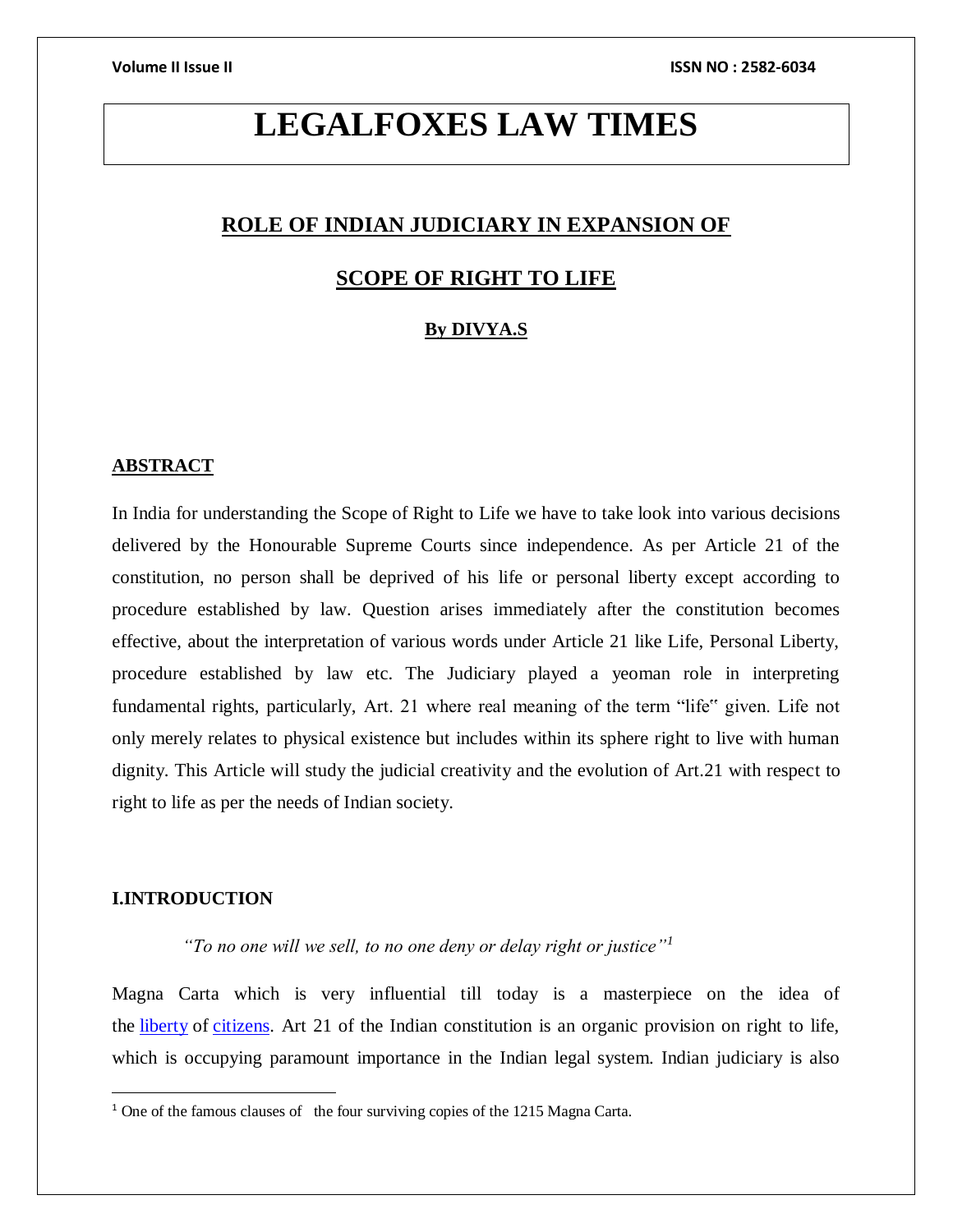# **LEGALFOXES LAW TIMES**

# **ROLE OF INDIAN JUDICIARY IN EXPANSION OF**

### **SCOPE OF RIGHT TO LIFE**

### **By DIVYA.S**

#### **ABSTRACT**

In India for understanding the Scope of Right to Life we have to take look into various decisions delivered by the Honourable Supreme Courts since independence. As per Article 21 of the constitution, no person shall be deprived of his life or personal liberty except according to procedure established by law. Question arises immediately after the constitution becomes effective, about the interpretation of various words under Article 21 like Life, Personal Liberty, procedure established by law etc. The Judiciary played a yeoman role in interpreting fundamental rights, particularly, Art. 21 where real meaning of the term "life" given. Life not only merely relates to physical existence but includes within its sphere right to live with human dignity. This Article will study the judicial creativity and the evolution of Art.21 with respect to right to life as per the needs of Indian society.

### **I.INTRODUCTION**

 $\overline{a}$ 

 *"To no one will we sell, to no one deny or delay right or justice"<sup>1</sup>*

Magna Carta which is very influential till today is a masterpiece on the idea of the [liberty](https://simple.wikipedia.org/wiki/Liberty) of [citizens.](https://simple.wikipedia.org/wiki/Citizen) Art 21 of the Indian constitution is an organic provision on right to life, which is occupying paramount importance in the Indian legal system. Indian judiciary is also

<sup>&</sup>lt;sup>1</sup> One of the famous clauses of the four surviving copies of the 1215 Magna Carta.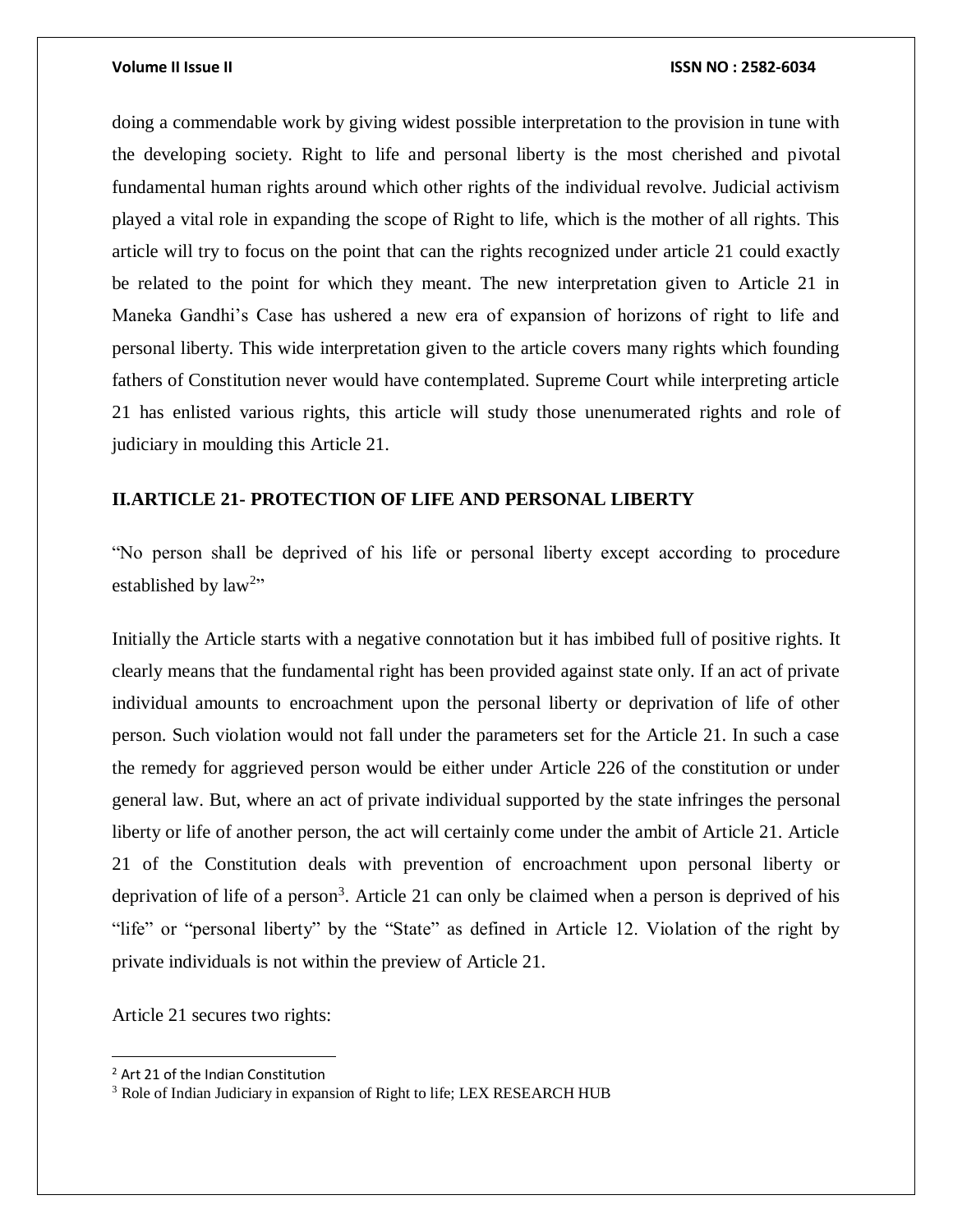doing a commendable work by giving widest possible interpretation to the provision in tune with the developing society. Right to life and personal liberty is the most cherished and pivotal fundamental human rights around which other rights of the individual revolve. Judicial activism played a vital role in expanding the scope of Right to life, which is the mother of all rights. This article will try to focus on the point that can the rights recognized under article 21 could exactly be related to the point for which they meant. The new interpretation given to Article 21 in Maneka Gandhi's Case has ushered a new era of expansion of horizons of right to life and personal liberty. This wide interpretation given to the article covers many rights which founding fathers of Constitution never would have contemplated. Supreme Court while interpreting article 21 has enlisted various rights, this article will study those unenumerated rights and role of judiciary in moulding this Article 21.

### **II.ARTICLE 21- PROTECTION OF LIFE AND PERSONAL LIBERTY**

"No person shall be deprived of his life or personal liberty except according to procedure established by  $law<sup>2</sup>$ "

Initially the Article starts with a negative connotation but it has imbibed full of positive rights. It clearly means that the fundamental right has been provided against state only. If an act of private individual amounts to encroachment upon the personal liberty or deprivation of life of other person. Such violation would not fall under the parameters set for the Article 21. In such a case the remedy for aggrieved person would be either under Article 226 of the constitution or under general law. But, where an act of private individual supported by the state infringes the personal liberty or life of another person, the act will certainly come under the ambit of Article 21. Article 21 of the Constitution deals with prevention of encroachment upon personal liberty or deprivation of life of a person<sup>3</sup>. Article 21 can only be claimed when a person is deprived of his "life" or "personal liberty" by the "State" as defined in Article 12. Violation of the right by private individuals is not within the preview of Article 21.

Article 21 secures two rights:

<sup>2</sup> Art 21 of the Indian Constitution

<sup>&</sup>lt;sup>3</sup> Role of Indian Judiciary in expansion of Right to life; LEX RESEARCH HUB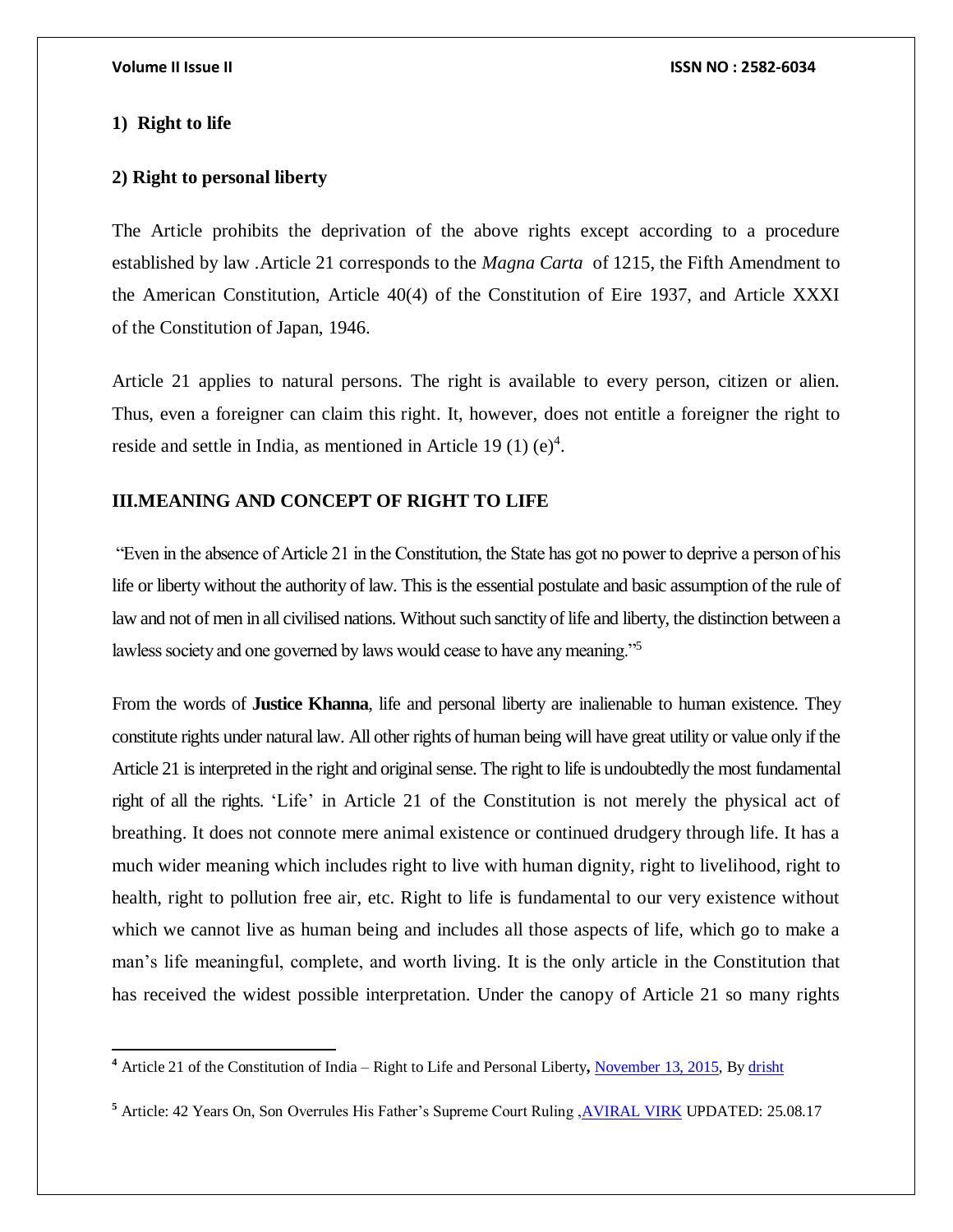#### **1) Right to life**

 $\overline{a}$ 

#### **2) Right to personal liberty**

The Article prohibits the deprivation of the above rights except according to a procedure established by law .Article 21 corresponds to the *Magna Carta* of 1215, the Fifth Amendment to the American Constitution, Article 40(4) of the Constitution of Eire 1937, and Article XXXI of the Constitution of Japan, 1946.

Article 21 applies to natural persons. The right is available to every person, citizen or alien. Thus, even a foreigner can claim this right. It, however, does not entitle a foreigner the right to reside and settle in India, as mentioned in Article 19 (1)  $(e)^4$ .

## **III.MEANING AND CONCEPT OF RIGHT TO LIFE**

"Even in the absence of Article 21 in the Constitution, the State has got no power to deprive a person of his life or liberty without the authority of law. This is the essential postulate and basic assumption of the rule of law and not of men in all civilised nations. Without such sanctity of life and liberty, the distinction between a lawless society and one governed by laws would cease to have any meaning."<sup>5</sup>

From the words of **Justice Khanna**, life and personal liberty are inalienable to human existence. They constitute rights under natural law. All other rights of human being will have great utility or value only if the Article 21 is interpreted in the right and original sense. The right to life is undoubtedly the most fundamental right of all the rights. 'Life' in Article 21 of the Constitution is not merely the physical act of breathing. It does not connote mere animal existence or continued drudgery through life. It has a much wider meaning which includes right to live with human dignity, right to livelihood, right to health, right to pollution free air, etc. Right to life is fundamental to our very existence without which we cannot live as human being and includes all those aspects of life, which go to make a man's life meaningful, complete, and worth living. It is the only article in the Constitution that has received the widest possible interpretation. Under the canopy of Article 21 so many rights

**<sup>4</sup>** Article 21 of the Constitution of India – Right to Life and Personal Liberty**,** [November 13, 2015,](https://www.lawctopus.com/academike/2015/11/13/) By [drisht](https://www.lawctopus.com/academike/author/drishti/)

**<sup>5</sup>** Article: 42 Years On, Son Overrules His Father's Supreme Court Ruling [,AVIRAL](https://www.thequint.com/author/193/aviral-virk) VIRK UPDATED: 25.08.17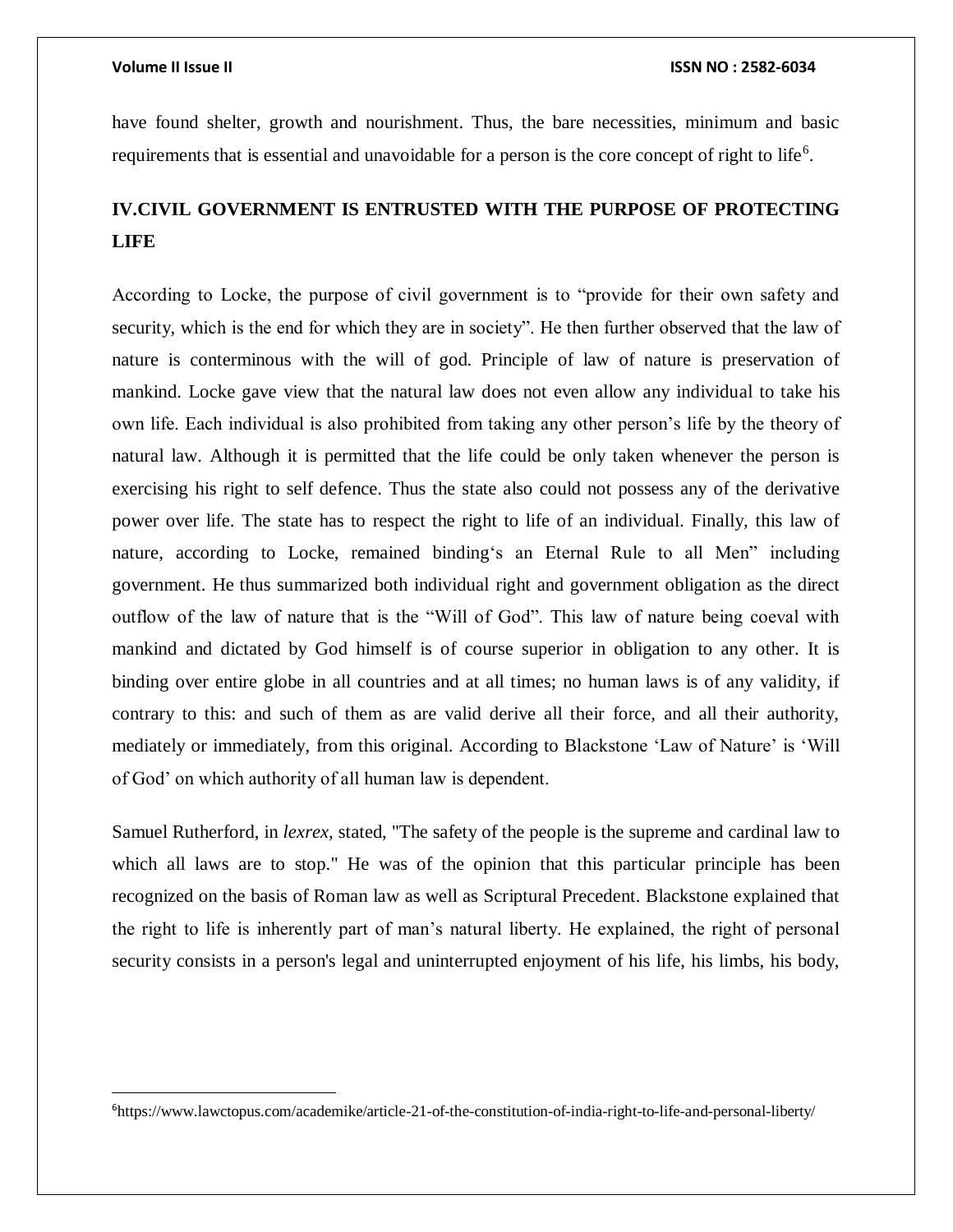$\overline{a}$ 

have found shelter, growth and nourishment. Thus, the bare necessities, minimum and basic requirements that is essential and unavoidable for a person is the core concept of right to life<sup>6</sup>.

# **IV.CIVIL GOVERNMENT IS ENTRUSTED WITH THE PURPOSE OF PROTECTING LIFE**

According to Locke, the purpose of civil government is to "provide for their own safety and security, which is the end for which they are in society". He then further observed that the law of nature is conterminous with the will of god. Principle of law of nature is preservation of mankind. Locke gave view that the natural law does not even allow any individual to take his own life. Each individual is also prohibited from taking any other person's life by the theory of natural law. Although it is permitted that the life could be only taken whenever the person is exercising his right to self defence. Thus the state also could not possess any of the derivative power over life. The state has to respect the right to life of an individual. Finally, this law of nature, according to Locke, remained binding's an Eternal Rule to all Men" including government. He thus summarized both individual right and government obligation as the direct outflow of the law of nature that is the "Will of God". This law of nature being coeval with mankind and dictated by God himself is of course superior in obligation to any other. It is binding over entire globe in all countries and at all times; no human laws is of any validity, if contrary to this: and such of them as are valid derive all their force, and all their authority, mediately or immediately, from this original. According to Blackstone 'Law of Nature' is 'Will of God' on which authority of all human law is dependent.

Samuel Rutherford, in *lexrex,* stated, "The safety of the people is the supreme and cardinal law to which all laws are to stop." He was of the opinion that this particular principle has been recognized on the basis of Roman law as well as Scriptural Precedent. Blackstone explained that the right to life is inherently part of man's natural liberty. He explained, the right of personal security consists in a person's legal and uninterrupted enjoyment of his life, his limbs, his body,

<sup>6</sup>https://www.lawctopus.com/academike/article-21-of-the-constitution-of-india-right-to-life-and-personal-liberty/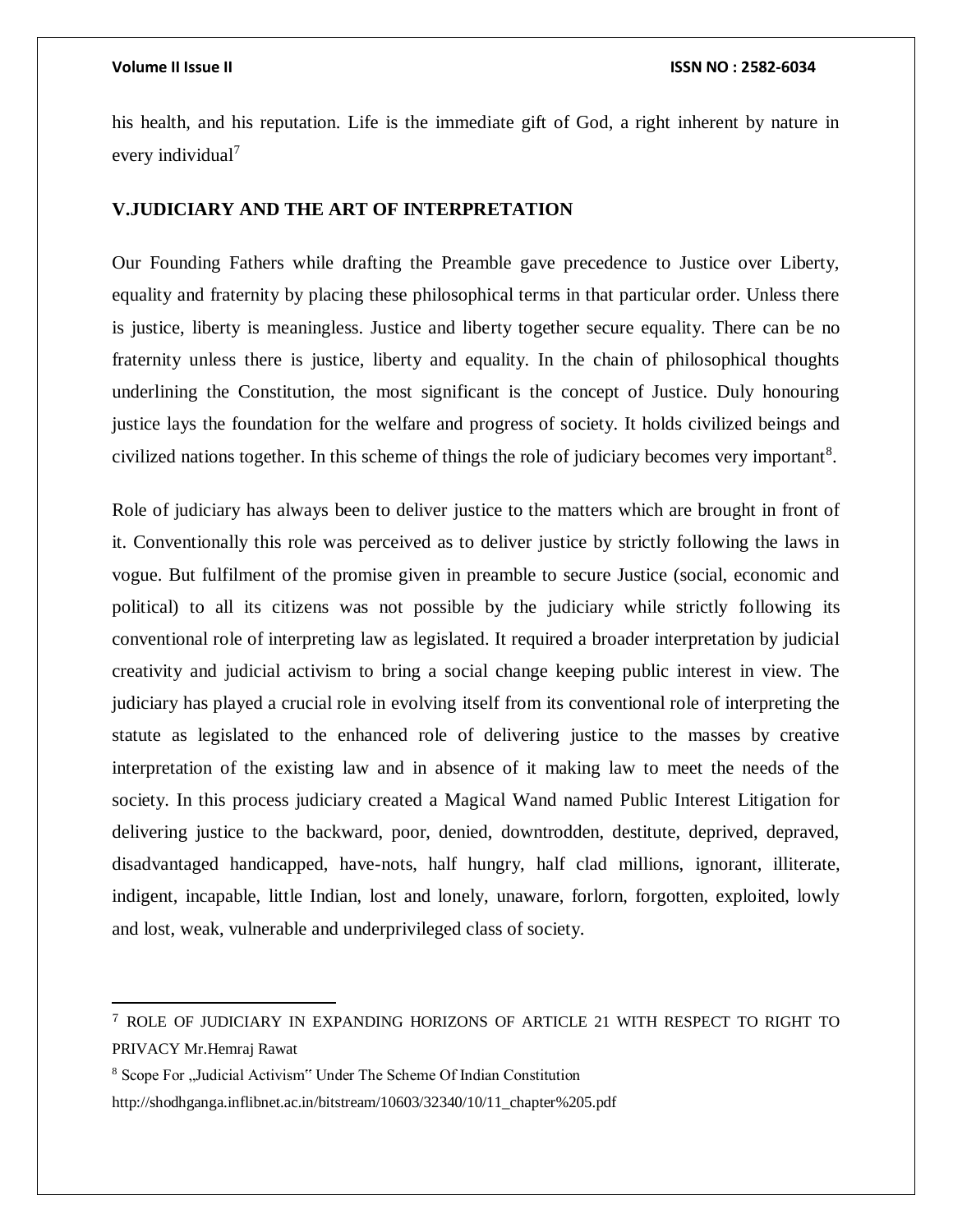$\overline{a}$ 

his health, and his reputation. Life is the immediate gift of God, a right inherent by nature in every individual<sup>7</sup>

### **V.JUDICIARY AND THE ART OF INTERPRETATION**

Our Founding Fathers while drafting the Preamble gave precedence to Justice over Liberty, equality and fraternity by placing these philosophical terms in that particular order. Unless there is justice, liberty is meaningless. Justice and liberty together secure equality. There can be no fraternity unless there is justice, liberty and equality. In the chain of philosophical thoughts underlining the Constitution, the most significant is the concept of Justice. Duly honouring justice lays the foundation for the welfare and progress of society. It holds civilized beings and civilized nations together. In this scheme of things the role of judiciary becomes very important<sup>8</sup>.

Role of judiciary has always been to deliver justice to the matters which are brought in front of it. Conventionally this role was perceived as to deliver justice by strictly following the laws in vogue. But fulfilment of the promise given in preamble to secure Justice (social, economic and political) to all its citizens was not possible by the judiciary while strictly following its conventional role of interpreting law as legislated. It required a broader interpretation by judicial creativity and judicial activism to bring a social change keeping public interest in view. The judiciary has played a crucial role in evolving itself from its conventional role of interpreting the statute as legislated to the enhanced role of delivering justice to the masses by creative interpretation of the existing law and in absence of it making law to meet the needs of the society. In this process judiciary created a Magical Wand named Public Interest Litigation for delivering justice to the backward, poor, denied, downtrodden, destitute, deprived, depraved, disadvantaged handicapped, have-nots, half hungry, half clad millions, ignorant, illiterate, indigent, incapable, little Indian, lost and lonely, unaware, forlorn, forgotten, exploited, lowly and lost, weak, vulnerable and underprivileged class of society.

<sup>7</sup> ROLE OF JUDICIARY IN EXPANDING HORIZONS OF ARTICLE 21 WITH RESPECT TO RIGHT TO PRIVACY Mr.Hemraj Rawat

<sup>&</sup>lt;sup>8</sup> Scope For "Judicial Activism" Under The Scheme Of Indian Constitution

http://shodhganga.inflibnet.ac.in/bitstream/10603/32340/10/11\_chapter%205.pdf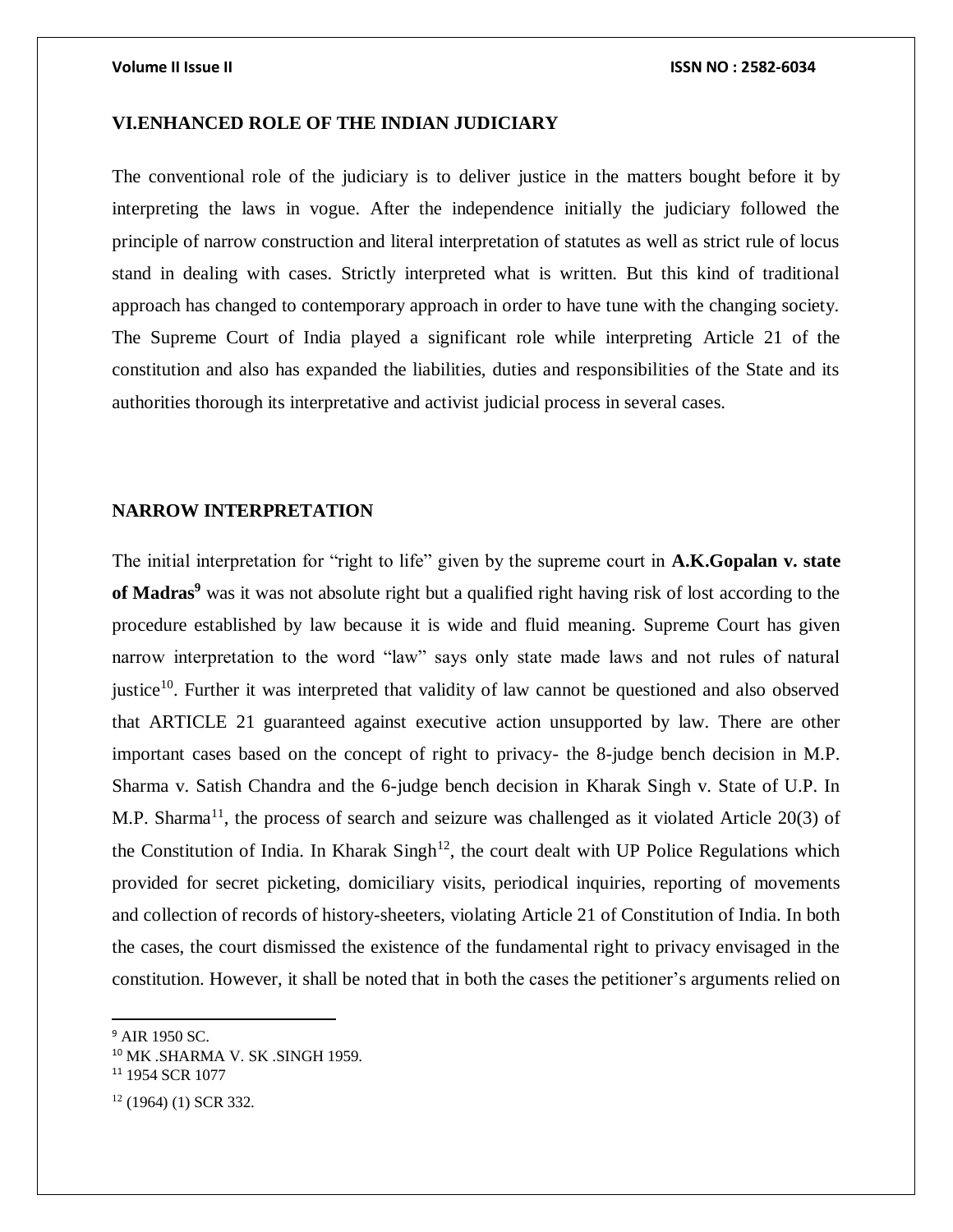### **VI.ENHANCED ROLE OF THE INDIAN JUDICIARY**

The conventional role of the judiciary is to deliver justice in the matters bought before it by interpreting the laws in vogue. After the independence initially the judiciary followed the principle of narrow construction and literal interpretation of statutes as well as strict rule of locus stand in dealing with cases. Strictly interpreted what is written. But this kind of traditional approach has changed to contemporary approach in order to have tune with the changing society. The Supreme Court of India played a significant role while interpreting Article 21 of the constitution and also has expanded the liabilities, duties and responsibilities of the State and its authorities thorough its interpretative and activist judicial process in several cases.

### **NARROW INTERPRETATION**

The initial interpretation for "right to life" given by the supreme court in **A.K.Gopalan v. state of Madras<sup>9</sup>** was it was not absolute right but a qualified right having risk of lost according to the procedure established by law because it is wide and fluid meaning. Supreme Court has given narrow interpretation to the word "law" says only state made laws and not rules of natural justice<sup>10</sup>. Further it was interpreted that validity of law cannot be questioned and also observed that ARTICLE 21 guaranteed against executive action unsupported by law. There are other important cases based on the concept of right to privacy- the 8-judge bench decision in M.P. Sharma v. Satish Chandra and the 6-judge bench decision in Kharak Singh v. State of U.P. In M.P. Sharma<sup>11</sup>, the process of search and seizure was challenged as it violated Article 20(3) of the Constitution of India. In Kharak  $\text{Sing}h^{12}$ , the court dealt with UP Police Regulations which provided for secret picketing, domiciliary visits, periodical inquiries, reporting of movements and collection of records of history-sheeters, violating Article 21 of Constitution of India. In both the cases, the court dismissed the existence of the fundamental right to privacy envisaged in the constitution. However, it shall be noted that in both the cases the petitioner's arguments relied on

<sup>&</sup>lt;sup>9</sup> AIR 1950 SC.

<sup>10</sup> MK .SHARMA V. SK .SINGH 1959.

<sup>&</sup>lt;sup>11</sup> 1954 SCR 1077

 $12$  (1964) (1) SCR 332.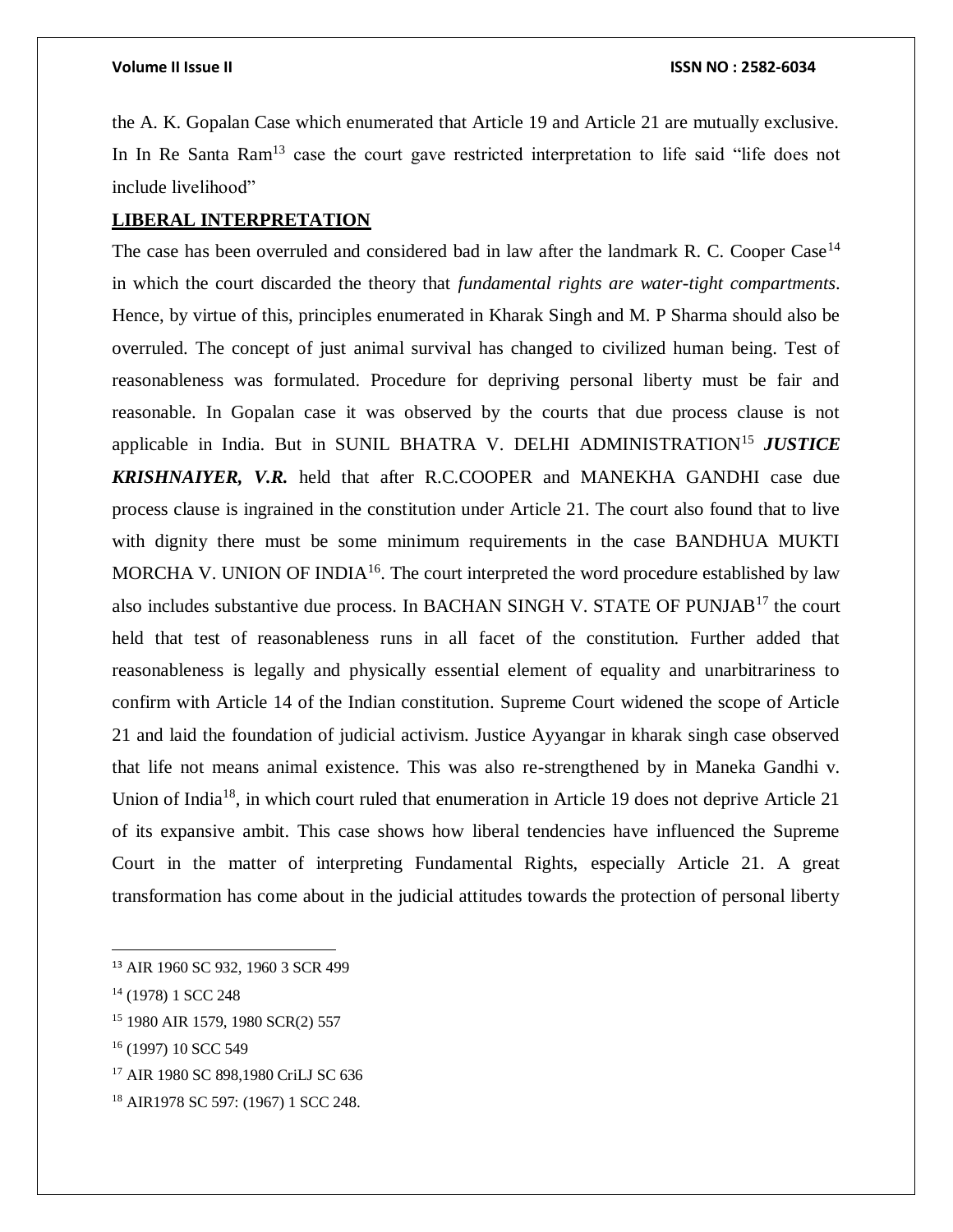the A. K. Gopalan Case which enumerated that Article 19 and Article 21 are mutually exclusive. In In Re Santa Ram<sup>13</sup> case the court gave restricted interpretation to life said "life does not include livelihood"

### **LIBERAL INTERPRETATION**

The case has been overruled and considered bad in law after the landmark R. C. Cooper Case<sup>14</sup> in which the court discarded the theory that *fundamental rights are water-tight compartments*. Hence, by virtue of this, principles enumerated in Kharak Singh and M. P Sharma should also be overruled. The concept of just animal survival has changed to civilized human being. Test of reasonableness was formulated. Procedure for depriving personal liberty must be fair and reasonable. In Gopalan case it was observed by the courts that due process clause is not applicable in India. But in SUNIL BHATRA V. DELHI ADMINISTRATION<sup>15</sup> JUSTICE *KRISHNAIYER, V.R.* held that after R.C.COOPER and MANEKHA GANDHI case due process clause is ingrained in the constitution under Article 21. The court also found that to live with dignity there must be some minimum requirements in the case BANDHUA MUKTI MORCHA V. UNION OF INDIA<sup>16</sup>. The court interpreted the word procedure established by law also includes substantive due process. In BACHAN SINGH V. STATE OF PUNJAB<sup>17</sup> the court held that test of reasonableness runs in all facet of the constitution. Further added that reasonableness is legally and physically essential element of equality and unarbitrariness to confirm with Article 14 of the Indian constitution. Supreme Court widened the scope of Article 21 and laid the foundation of judicial activism. Justice Ayyangar in kharak singh case observed that life not means animal existence. This was also re-strengthened by in Maneka Gandhi v. Union of India<sup>18</sup>, in which court ruled that enumeration in Article 19 does not deprive Article 21 of its expansive ambit. This case shows how liberal tendencies have influenced the Supreme Court in the matter of interpreting Fundamental Rights, especially Article 21. A great transformation has come about in the judicial attitudes towards the protection of personal liberty

 $\overline{a}$ 

<sup>15</sup> 1980 AIR 1579, 1980 SCR(2) 557

- <sup>17</sup> AIR 1980 SC 898,1980 CriLJ SC 636
- <sup>18</sup> AIR1978 SC 597: (1967) 1 SCC 248.

<sup>13</sup> AIR 1960 SC 932, 1960 3 SCR 499

<sup>&</sup>lt;sup>14</sup> (1978) 1 SCC 248

<sup>&</sup>lt;sup>16</sup> (1997) 10 SCC 549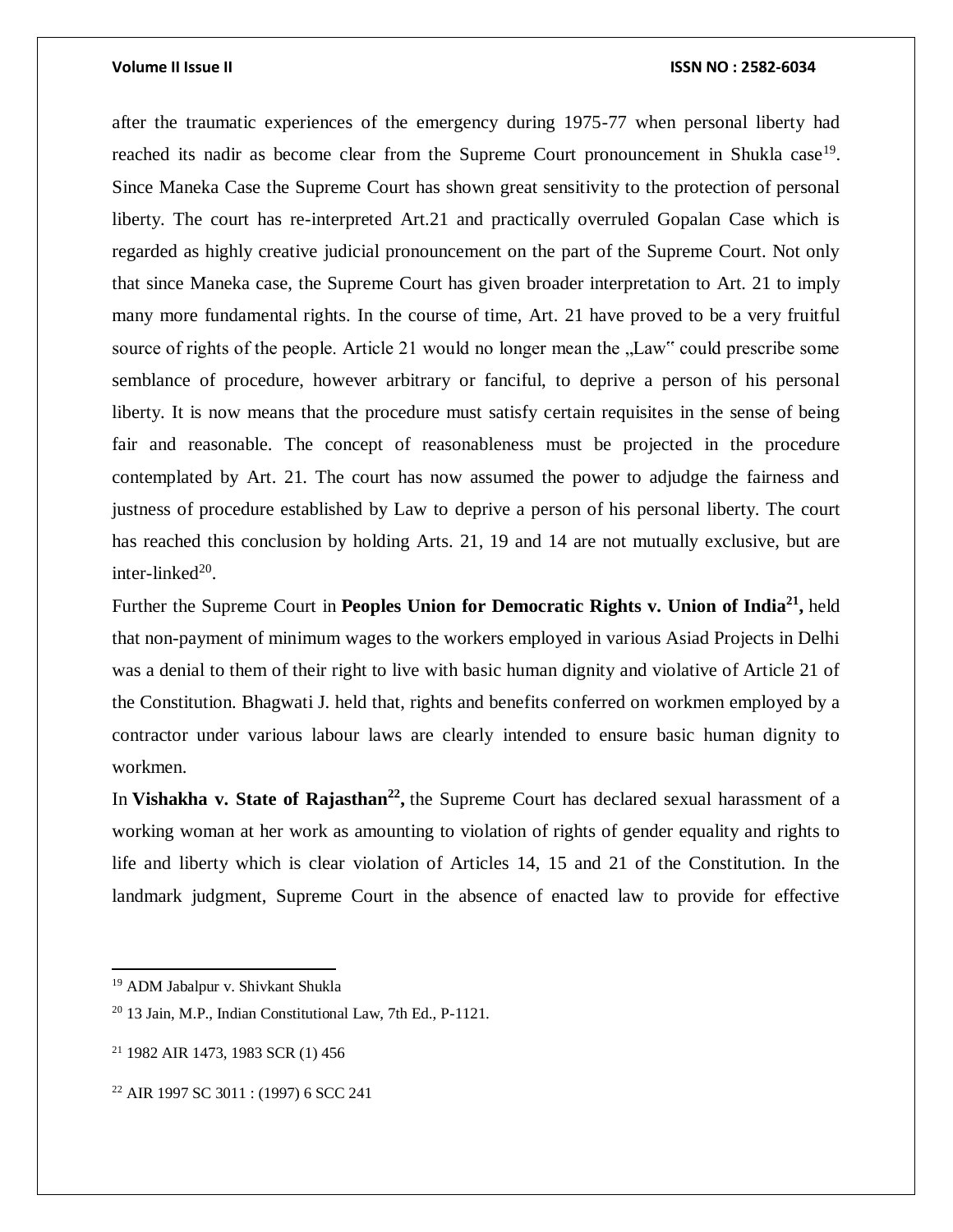after the traumatic experiences of the emergency during 1975-77 when personal liberty had reached its nadir as become clear from the Supreme Court pronouncement in Shukla case<sup>19</sup>. Since Maneka Case the Supreme Court has shown great sensitivity to the protection of personal liberty. The court has re-interpreted Art.21 and practically overruled Gopalan Case which is regarded as highly creative judicial pronouncement on the part of the Supreme Court. Not only that since Maneka case, the Supreme Court has given broader interpretation to Art. 21 to imply many more fundamental rights. In the course of time, Art. 21 have proved to be a very fruitful source of rights of the people. Article 21 would no longer mean the "Law" could prescribe some semblance of procedure, however arbitrary or fanciful, to deprive a person of his personal liberty. It is now means that the procedure must satisfy certain requisites in the sense of being fair and reasonable. The concept of reasonableness must be projected in the procedure contemplated by Art. 21. The court has now assumed the power to adjudge the fairness and justness of procedure established by Law to deprive a person of his personal liberty. The court has reached this conclusion by holding Arts. 21, 19 and 14 are not mutually exclusive, but are inter-linked $^{20}$ .

Further the Supreme Court in **Peoples Union for Democratic Rights v. Union of India<sup>21</sup> ,** held that non-payment of minimum wages to the workers employed in various Asiad Projects in Delhi was a denial to them of their right to live with basic human dignity and violative of Article 21 of the Constitution. Bhagwati J. held that, rights and benefits conferred on workmen employed by a contractor under various labour laws are clearly intended to ensure basic human dignity to workmen.

In **Vishakha v. State of Rajasthan<sup>22</sup> ,** the Supreme Court has declared sexual harassment of a working woman at her work as amounting to violation of rights of gender equality and rights to life and liberty which is clear violation of Articles 14, 15 and 21 of the Constitution. In the landmark judgment, Supreme Court in the absence of enacted law to provide for effective

 $\overline{\phantom{a}}$ 

<sup>19</sup> ADM Jabalpur v. Shivkant Shukla

<sup>20</sup> 13 Jain, M.P., Indian Constitutional Law, 7th Ed., P-1121.

<sup>21</sup> 1982 AIR 1473, 1983 SCR (1) 456

<sup>22</sup> AIR 1997 SC 3011 : (1997) 6 SCC 241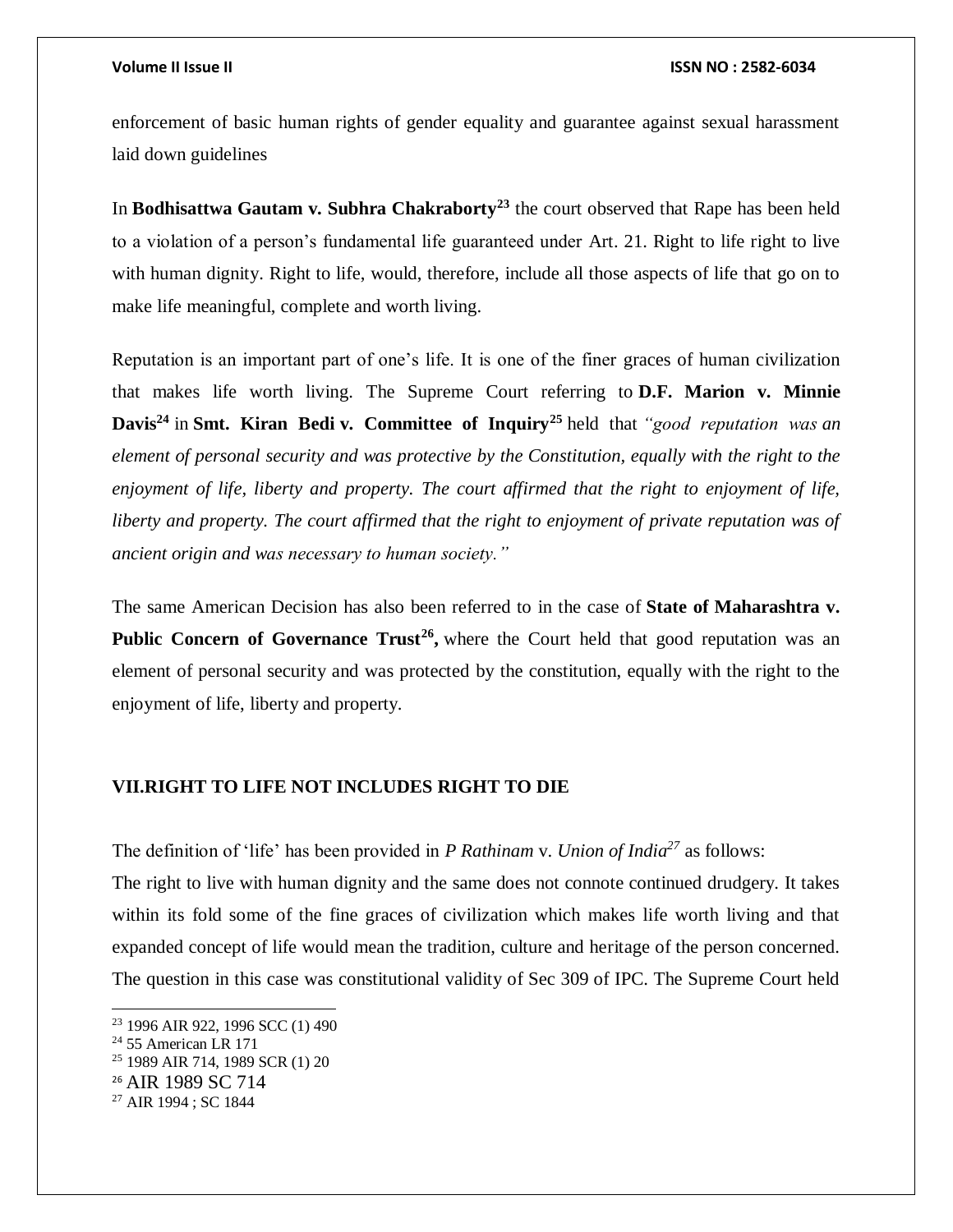enforcement of basic human rights of gender equality and guarantee against sexual harassment laid down guidelines

In **Bodhisattwa Gautam v. Subhra Chakraborty<sup>23</sup>** the court observed that Rape has been held to a violation of a person's fundamental life guaranteed under Art. 21. Right to life right to live with human dignity. Right to life, would, therefore, include all those aspects of life that go on to make life meaningful, complete and worth living.

Reputation is an important part of one's life. It is one of the finer graces of human civilization that makes life worth living. The Supreme Court referring to **D.F. Marion v. Minnie Davis<sup>24</sup>** in **Smt. Kiran Bedi v. Committee of Inquiry<sup>25</sup>** held that *"good reputation was an element of personal security and was protective by the Constitution, equally with the right to the enjoyment of life, liberty and property. The court affirmed that the right to enjoyment of life, liberty and property. The court affirmed that the right to enjoyment of private reputation was of ancient origin and was necessary to human society."*

The same American Decision has also been referred to in the case of **State of Maharashtra v. Public Concern of Governance Trust<sup>26</sup>**, where the Court held that good reputation was an element of personal security and was protected by the constitution, equally with the right to the enjoyment of life, liberty and property.

### **VII.RIGHT TO LIFE NOT INCLUDES RIGHT TO DIE**

The definition of 'life' has been provided in *P Rathinam* v. *Union of India<sup>27</sup>* as follows:

The right to live with human dignity and the same does not connote continued drudgery. It takes within its fold some of the fine graces of civilization which makes life worth living and that expanded concept of life would mean the tradition, culture and heritage of the person concerned. The question in this case was constitutional validity of Sec 309 of IPC. The Supreme Court held

<sup>&</sup>lt;sup>23</sup> 1996 AIR 922, 1996 SCC (1) 490

 $24$  55 American LR 171

<sup>25</sup> 1989 AIR 714, 1989 SCR (1) 20

<sup>26</sup> AIR 1989 SC 714

<sup>27</sup> AIR 1994 ; SC 1844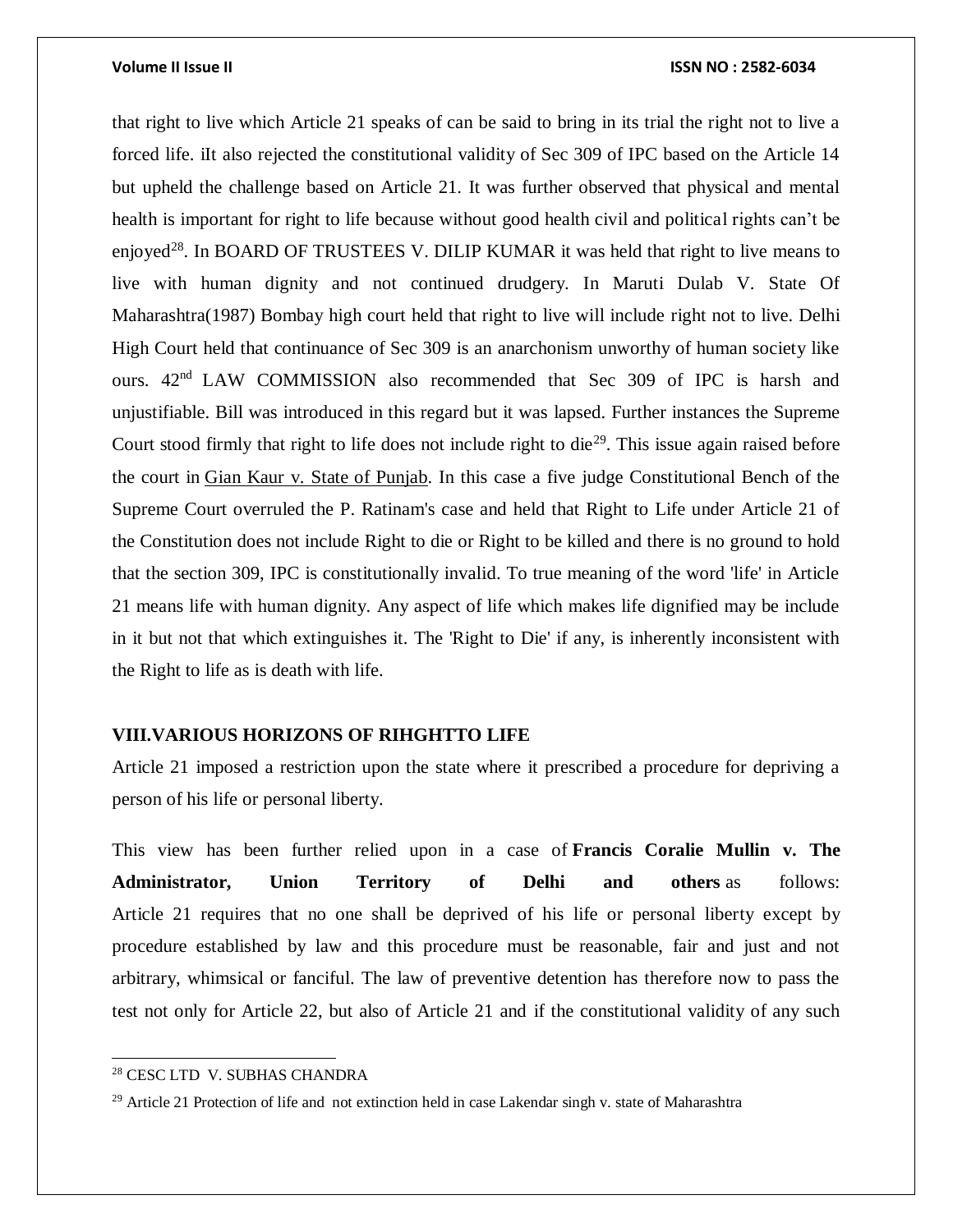that right to live which Article 21 speaks of can be said to bring in its trial the right not to live a forced life. iIt also rejected the constitutional validity of Sec 309 of IPC based on the Article 14 but upheld the challenge based on Article 21. It was further observed that physical and mental health is important for right to life because without good health civil and political rights can't be enjoyed<sup>28</sup>. In BOARD OF TRUSTEES V. DILIP KUMAR it was held that right to live means to live with human dignity and not continued drudgery. In Maruti Dulab V. State Of Maharashtra(1987) Bombay high court held that right to live will include right not to live. Delhi High Court held that continuance of Sec 309 is an anarchonism unworthy of human society like ours.  $42<sup>nd</sup>$  LAW COMMISSION also recommended that Sec 309 of IPC is harsh and unjustifiable. Bill was introduced in this regard but it was lapsed. Further instances the Supreme Court stood firmly that right to life does not include right to die<sup>29</sup>. This issue again raised before the court in [Gian Kaur v. State of Punjab.](http://www.legalserviceindia.com/issues/topic1540-gian-kaur-v-state-of-punjab.html) In this case a five judge Constitutional Bench of the Supreme Court overruled the P. Ratinam's case and held that Right to Life under Article 21 of the Constitution does not include Right to die or Right to be killed and there is no ground to hold that the section 309, IPC is constitutionally invalid. To true meaning of the word 'life' in Article 21 means life with human dignity. Any aspect of life which makes life dignified may be include in it but not that which extinguishes it. The 'Right to Die' if any, is inherently inconsistent with the Right to life as is death with life.

### **VIII.VARIOUS HORIZONS OF RIHGHTTO LIFE**

Article 21 imposed a restriction upon the state where it prescribed a procedure for depriving a person of his life or personal liberty.

This view has been further relied upon in a case of **Francis Coralie Mullin v. The Administrator, Union Territory of Delhi and others** as follows: Article 21 requires that no one shall be deprived of his life or personal liberty except by procedure established by law and this procedure must be reasonable, fair and just and not arbitrary, whimsical or fanciful. The law of preventive detention has therefore now to pass the test not only for Article 22, but also of Article 21 and if the constitutional validity of any such

<sup>28</sup> CESC LTD V. SUBHAS CHANDRA

 $29$  Article 21 Protection of life and not extinction held in case Lakendar singh v. state of Maharashtra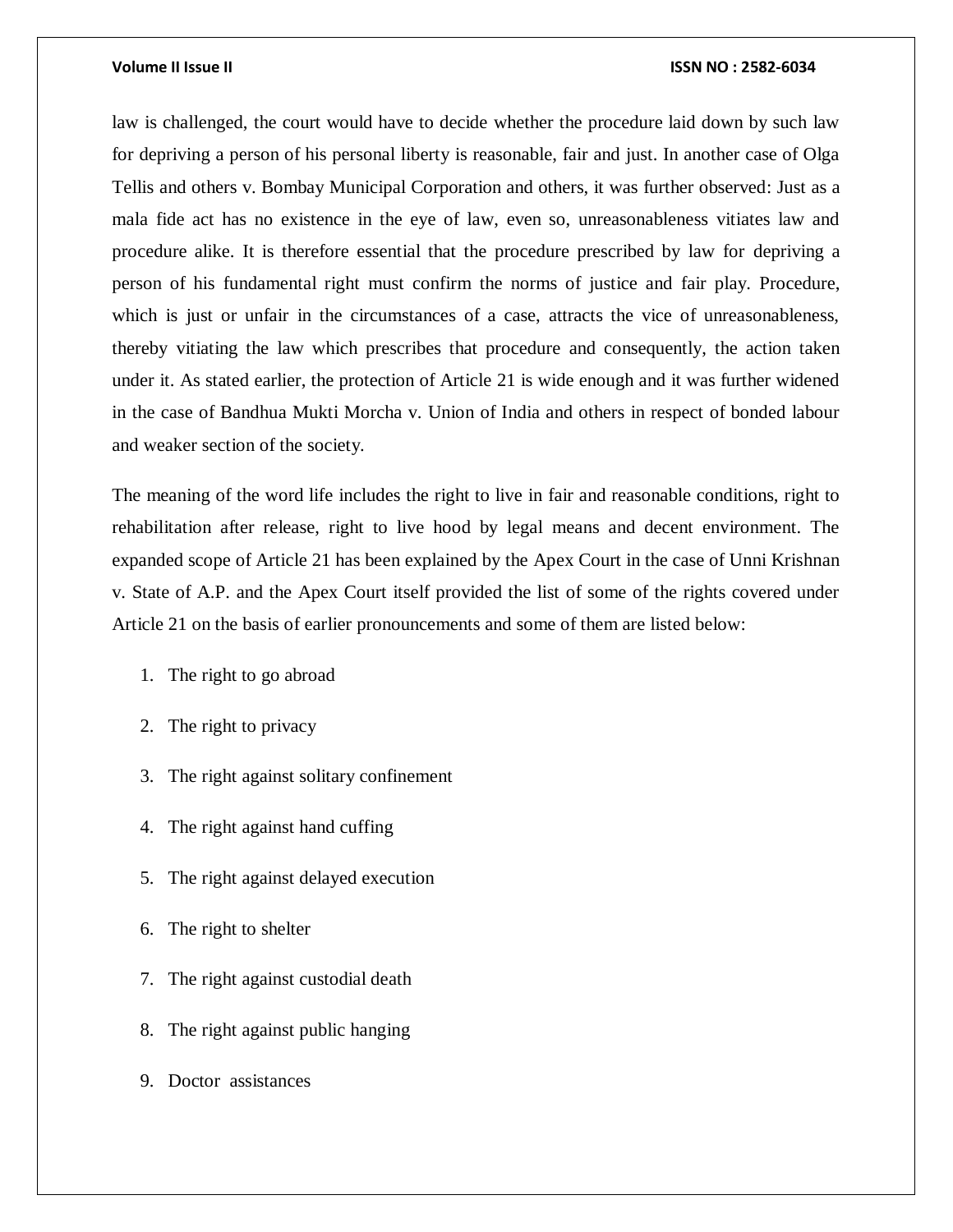law is challenged, the court would have to decide whether the procedure laid down by such law for depriving a person of his personal liberty is reasonable, fair and just. In another case of Olga Tellis and others v. Bombay Municipal Corporation and others, it was further observed: Just as a mala fide act has no existence in the eye of law, even so, unreasonableness vitiates law and procedure alike. It is therefore essential that the procedure prescribed by law for depriving a person of his fundamental right must confirm the norms of justice and fair play. Procedure, which is just or unfair in the circumstances of a case, attracts the vice of unreasonableness, thereby vitiating the law which prescribes that procedure and consequently, the action taken under it. As stated earlier, the protection of Article 21 is wide enough and it was further widened in the case of Bandhua Mukti Morcha v. Union of India and others in respect of bonded labour and weaker section of the society.

The meaning of the word life includes the right to live in fair and reasonable conditions, right to rehabilitation after release, right to live hood by legal means and decent environment. The expanded scope of Article 21 has been explained by the Apex Court in the case of Unni Krishnan v. State of A.P. and the Apex Court itself provided the list of some of the rights covered under Article 21 on the basis of earlier pronouncements and some of them are listed below:

- 1. The right to go abroad
- 2. The right to privacy
- 3. The right against solitary confinement
- 4. The right against hand cuffing
- 5. The right against delayed execution
- 6. The right to shelter
- 7. The right against custodial death
- 8. The right against public hanging
- 9. Doctor assistances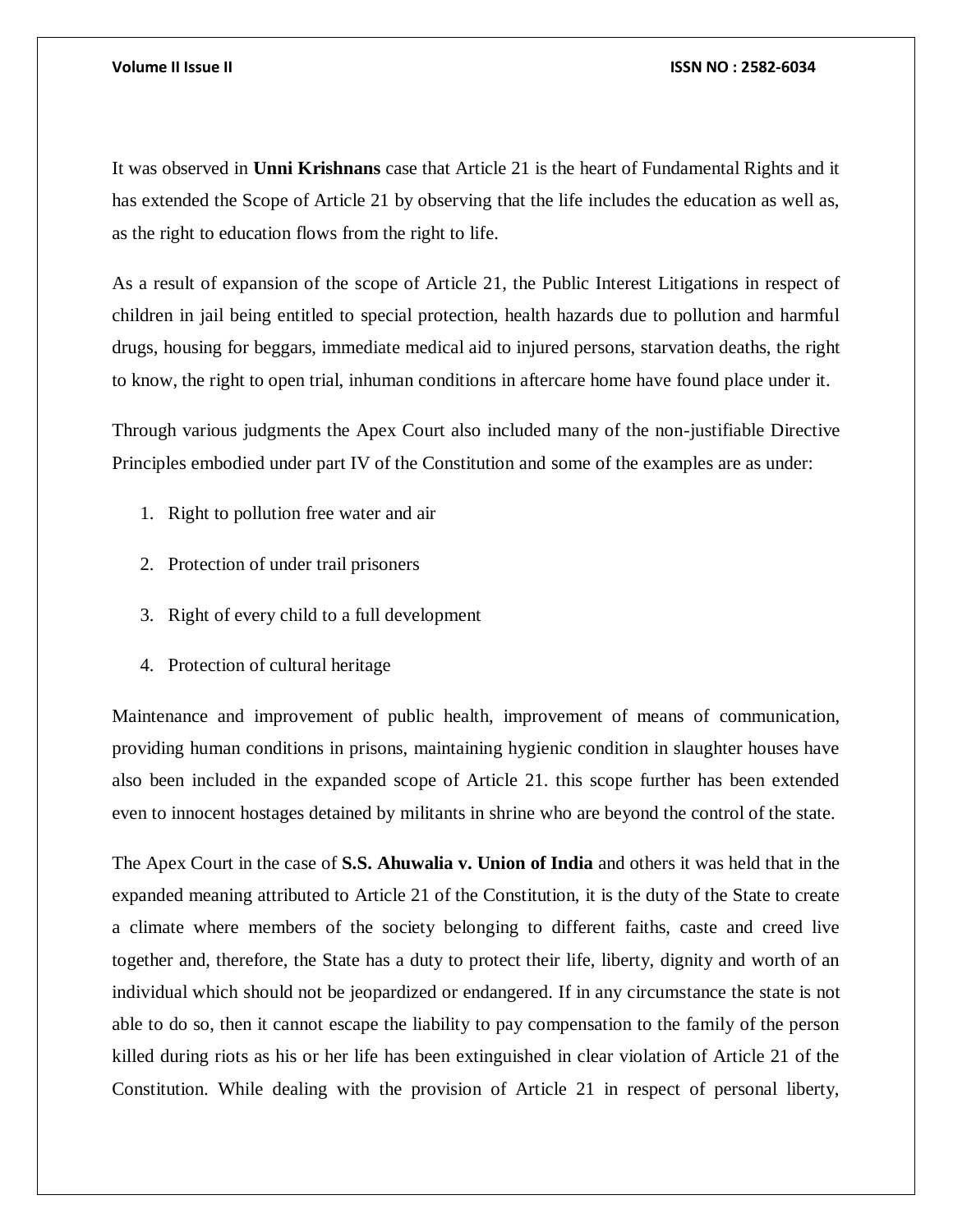It was observed in **Unni Krishnans** case that Article 21 is the heart of Fundamental Rights and it has extended the Scope of Article 21 by observing that the life includes the education as well as, as the right to education flows from the right to life.

As a result of expansion of the scope of Article 21, the Public Interest Litigations in respect of children in jail being entitled to special protection, health hazards due to pollution and harmful drugs, housing for beggars, immediate medical aid to injured persons, starvation deaths, the right to know, the right to open trial, inhuman conditions in aftercare home have found place under it.

Through various judgments the Apex Court also included many of the non-justifiable Directive Principles embodied under part IV of the Constitution and some of the examples are as under:

- 1. Right to pollution free water and air
- 2. Protection of under trail prisoners
- 3. Right of every child to a full development
- 4. Protection of cultural heritage

Maintenance and improvement of public health, improvement of means of communication, providing human conditions in prisons, maintaining hygienic condition in slaughter houses have also been included in the expanded scope of Article 21. this scope further has been extended even to innocent hostages detained by militants in shrine who are beyond the control of the state.

The Apex Court in the case of **S.S. Ahuwalia v. Union of India** and others it was held that in the expanded meaning attributed to Article 21 of the Constitution, it is the duty of the State to create a climate where members of the society belonging to different faiths, caste and creed live together and, therefore, the State has a duty to protect their life, liberty, dignity and worth of an individual which should not be jeopardized or endangered. If in any circumstance the state is not able to do so, then it cannot escape the liability to pay compensation to the family of the person killed during riots as his or her life has been extinguished in clear violation of Article 21 of the Constitution. While dealing with the provision of Article 21 in respect of personal liberty,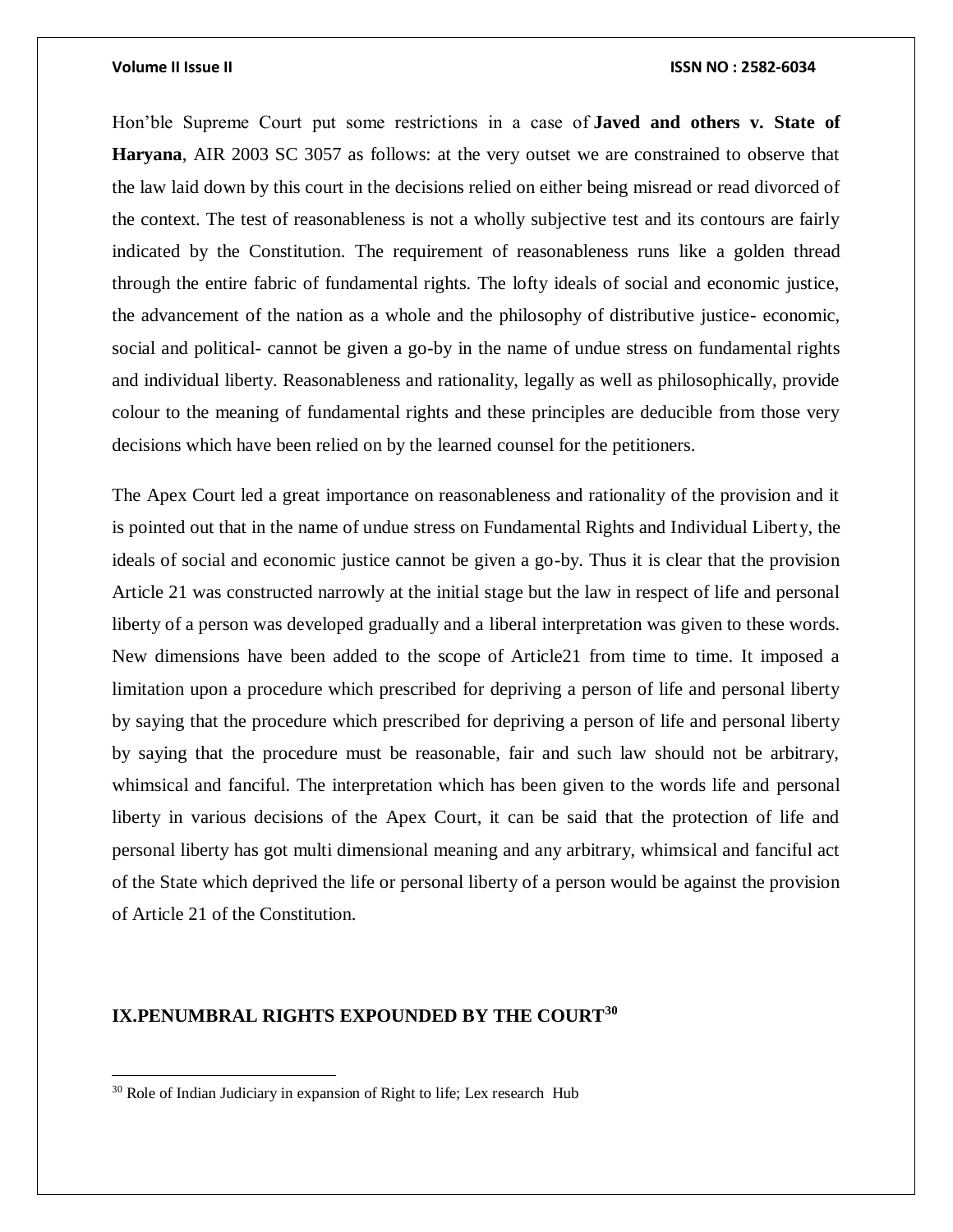Hon'ble Supreme Court put some restrictions in a case of **Javed and others v. State of Haryana**, AIR 2003 SC 3057 as follows: at the very outset we are constrained to observe that the law laid down by this court in the decisions relied on either being misread or read divorced of the context. The test of reasonableness is not a wholly subjective test and its contours are fairly indicated by the Constitution. The requirement of reasonableness runs like a golden thread through the entire fabric of fundamental rights. The lofty ideals of social and economic justice, the advancement of the nation as a whole and the philosophy of distributive justice- economic, social and political- cannot be given a go-by in the name of undue stress on fundamental rights and individual liberty. Reasonableness and rationality, legally as well as philosophically, provide colour to the meaning of fundamental rights and these principles are deducible from those very decisions which have been relied on by the learned counsel for the petitioners.

The Apex Court led a great importance on reasonableness and rationality of the provision and it is pointed out that in the name of undue stress on Fundamental Rights and Individual Liberty, the ideals of social and economic justice cannot be given a go-by. Thus it is clear that the provision Article 21 was constructed narrowly at the initial stage but the law in respect of life and personal liberty of a person was developed gradually and a liberal interpretation was given to these words. New dimensions have been added to the scope of Article21 from time to time. It imposed a limitation upon a procedure which prescribed for depriving a person of life and personal liberty by saying that the procedure which prescribed for depriving a person of life and personal liberty by saying that the procedure must be reasonable, fair and such law should not be arbitrary, whimsical and fanciful. The interpretation which has been given to the words life and personal liberty in various decisions of the Apex Court, it can be said that the protection of life and personal liberty has got multi dimensional meaning and any arbitrary, whimsical and fanciful act of the State which deprived the life or personal liberty of a person would be against the provision of Article 21 of the Constitution.

### **IX.PENUMBRAL RIGHTS EXPOUNDED BY THE COURT<sup>30</sup>**

<sup>&</sup>lt;sup>30</sup> Role of Indian Judiciary in expansion of Right to life; Lex research Hub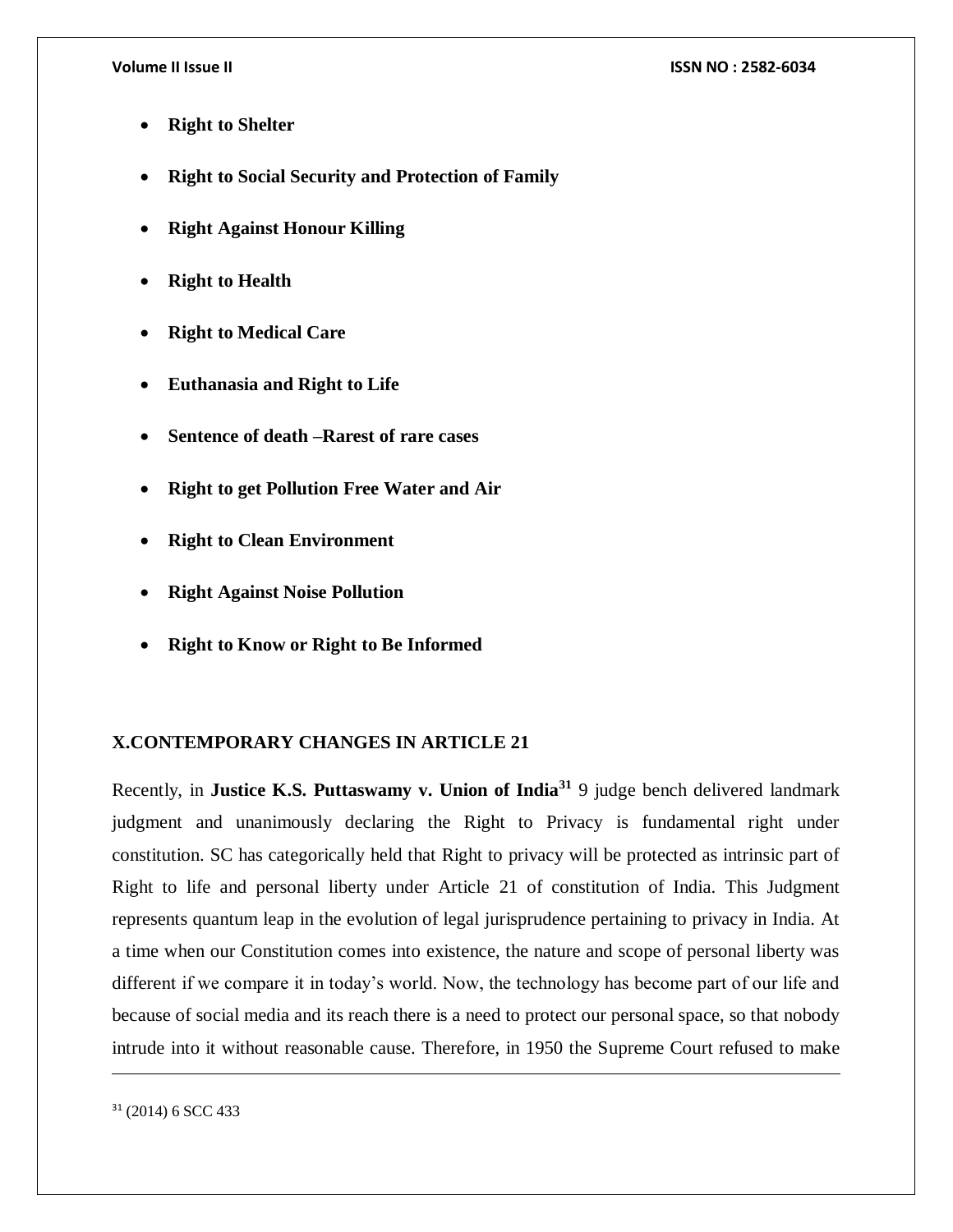- **Right to Shelter**
- **Right to Social Security and Protection of Family**
- **Right Against Honour Killing**
- **Right to Health**
- **Right to Medical Care**
- **Euthanasia and Right to Life**
- **Sentence of death –Rarest of rare cases**
- **Right to get Pollution Free Water and Air**
- **Right to Clean Environment**
- **Right Against Noise Pollution**
- **Right to Know or Right to Be Informed**

### **X.CONTEMPORARY CHANGES IN ARTICLE 21**

Recently, in **Justice K.S. Puttaswamy v. Union of India<sup>31</sup>** 9 judge bench delivered landmark judgment and unanimously declaring the Right to Privacy is fundamental right under constitution. SC has categorically held that Right to privacy will be protected as intrinsic part of Right to life and personal liberty under Article 21 of constitution of India. This Judgment represents quantum leap in the evolution of legal jurisprudence pertaining to privacy in India. At a time when our Constitution comes into existence, the nature and scope of personal liberty was different if we compare it in today's world. Now, the technology has become part of our life and because of social media and its reach there is a need to protect our personal space, so that nobody intrude into it without reasonable cause. Therefore, in 1950 the Supreme Court refused to make

<sup>31</sup> (2014) 6 SCC 433

 $\overline{\phantom{a}}$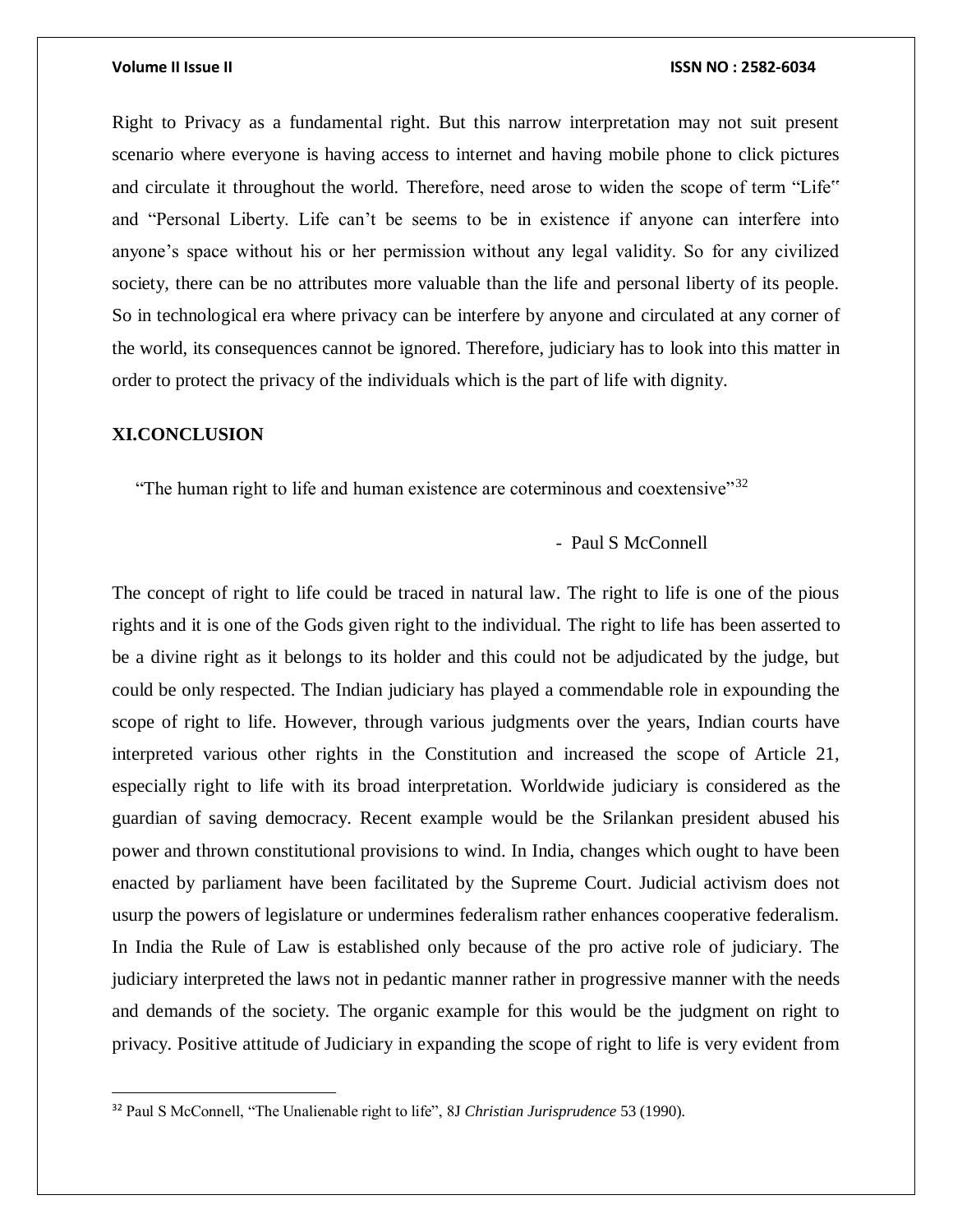Right to Privacy as a fundamental right. But this narrow interpretation may not suit present scenario where everyone is having access to internet and having mobile phone to click pictures and circulate it throughout the world. Therefore, need arose to widen the scope of term "Life" and "Personal Liberty. Life can't be seems to be in existence if anyone can interfere into anyone's space without his or her permission without any legal validity. So for any civilized society, there can be no attributes more valuable than the life and personal liberty of its people. So in technological era where privacy can be interfere by anyone and circulated at any corner of the world, its consequences cannot be ignored. Therefore, judiciary has to look into this matter in order to protect the privacy of the individuals which is the part of life with dignity.

### **XI.CONCLUSION**

 $\overline{a}$ 

"The human right to life and human existence are coterminous and coextensive" $32$ 

### - Paul S McConnell

The concept of right to life could be traced in natural law. The right to life is one of the pious rights and it is one of the Gods given right to the individual. The right to life has been asserted to be a divine right as it belongs to its holder and this could not be adjudicated by the judge, but could be only respected. The Indian judiciary has played a commendable role in expounding the scope of right to life. However, through various judgments over the years, Indian courts have interpreted various other rights in the Constitution and increased the scope of Article 21, especially right to life with its broad interpretation. Worldwide judiciary is considered as the guardian of saving democracy. Recent example would be the Srilankan president abused his power and thrown constitutional provisions to wind. In India, changes which ought to have been enacted by parliament have been facilitated by the Supreme Court. Judicial activism does not usurp the powers of legislature or undermines federalism rather enhances cooperative federalism. In India the Rule of Law is established only because of the pro active role of judiciary. The judiciary interpreted the laws not in pedantic manner rather in progressive manner with the needs and demands of the society. The organic example for this would be the judgment on right to privacy. Positive attitude of Judiciary in expanding the scope of right to life is very evident from

<sup>32</sup> Paul S McConnell, "The Unalienable right to life", 8J *Christian Jurisprudence* 53 (1990).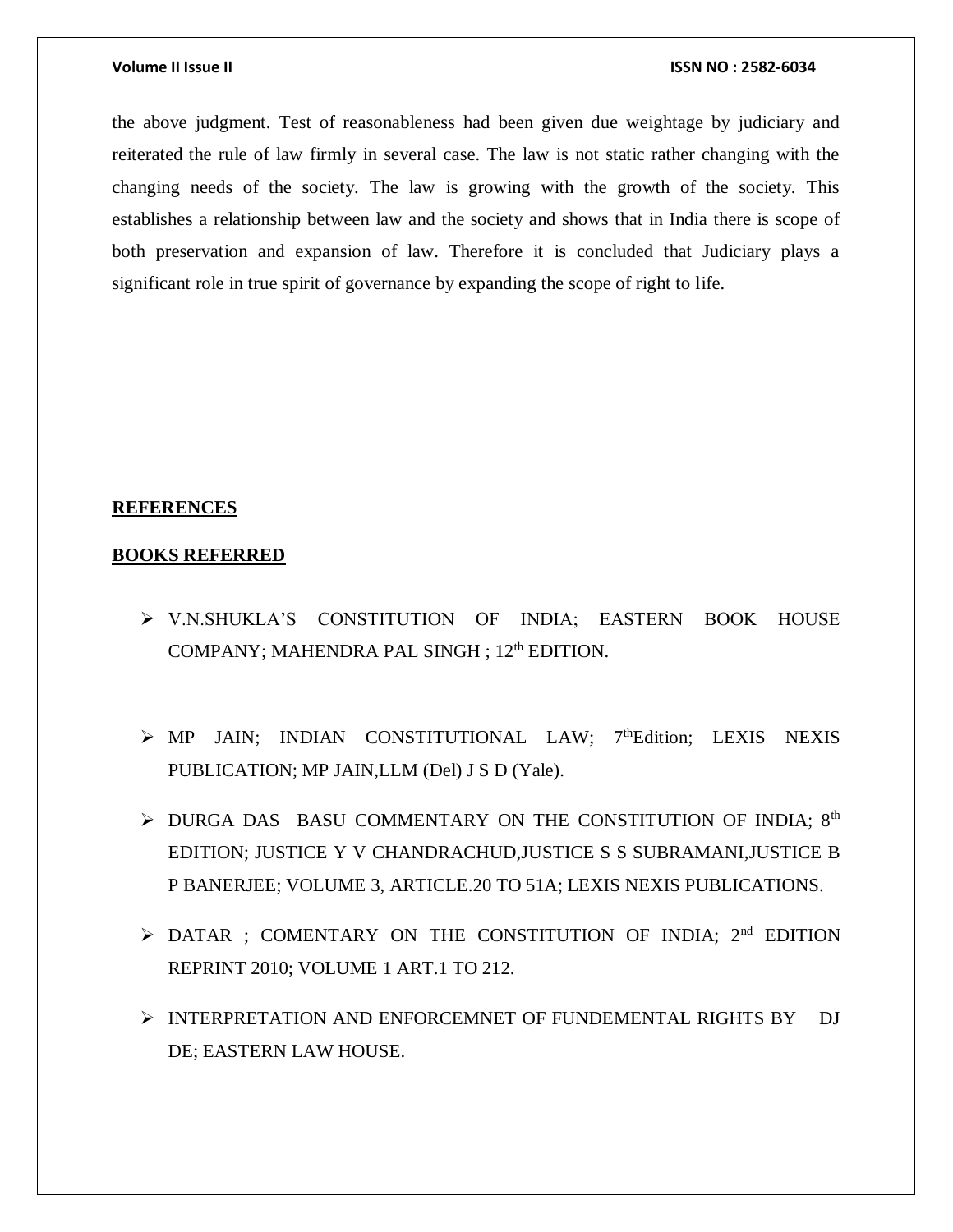the above judgment. Test of reasonableness had been given due weightage by judiciary and reiterated the rule of law firmly in several case. The law is not static rather changing with the changing needs of the society. The law is growing with the growth of the society. This establishes a relationship between law and the society and shows that in India there is scope of both preservation and expansion of law. Therefore it is concluded that Judiciary plays a significant role in true spirit of governance by expanding the scope of right to life.

#### **REFERENCES**

#### **BOOKS REFERRED**

- V.N.SHUKLA'S CONSTITUTION OF INDIA; EASTERN BOOK HOUSE COMPANY; MAHENDRA PAL SINGH ; 12<sup>th</sup> EDITION.
- $\triangleright$  MP JAIN; INDIAN CONSTITUTIONAL LAW; 7<sup>th</sup>Edition; LEXIS NEXIS PUBLICATION; MP JAIN,LLM (Del) J S D (Yale).
- $\triangleright$  DURGA DAS BASU COMMENTARY ON THE CONSTITUTION OF INDIA;  $8<sup>th</sup>$ EDITION; JUSTICE Y V CHANDRACHUD,JUSTICE S S SUBRAMANI,JUSTICE B P BANERJEE; VOLUME 3, ARTICLE.20 TO 51A; LEXIS NEXIS PUBLICATIONS.
- $\triangleright$  DATAR ; COMENTARY ON THE CONSTITUTION OF INDIA:  $2<sup>nd</sup>$  EDITION REPRINT 2010; VOLUME 1 ART.1 TO 212.
- > INTERPRETATION AND ENFORCEMNET OF FUNDEMENTAL RIGHTS BY DJ DE; EASTERN LAW HOUSE.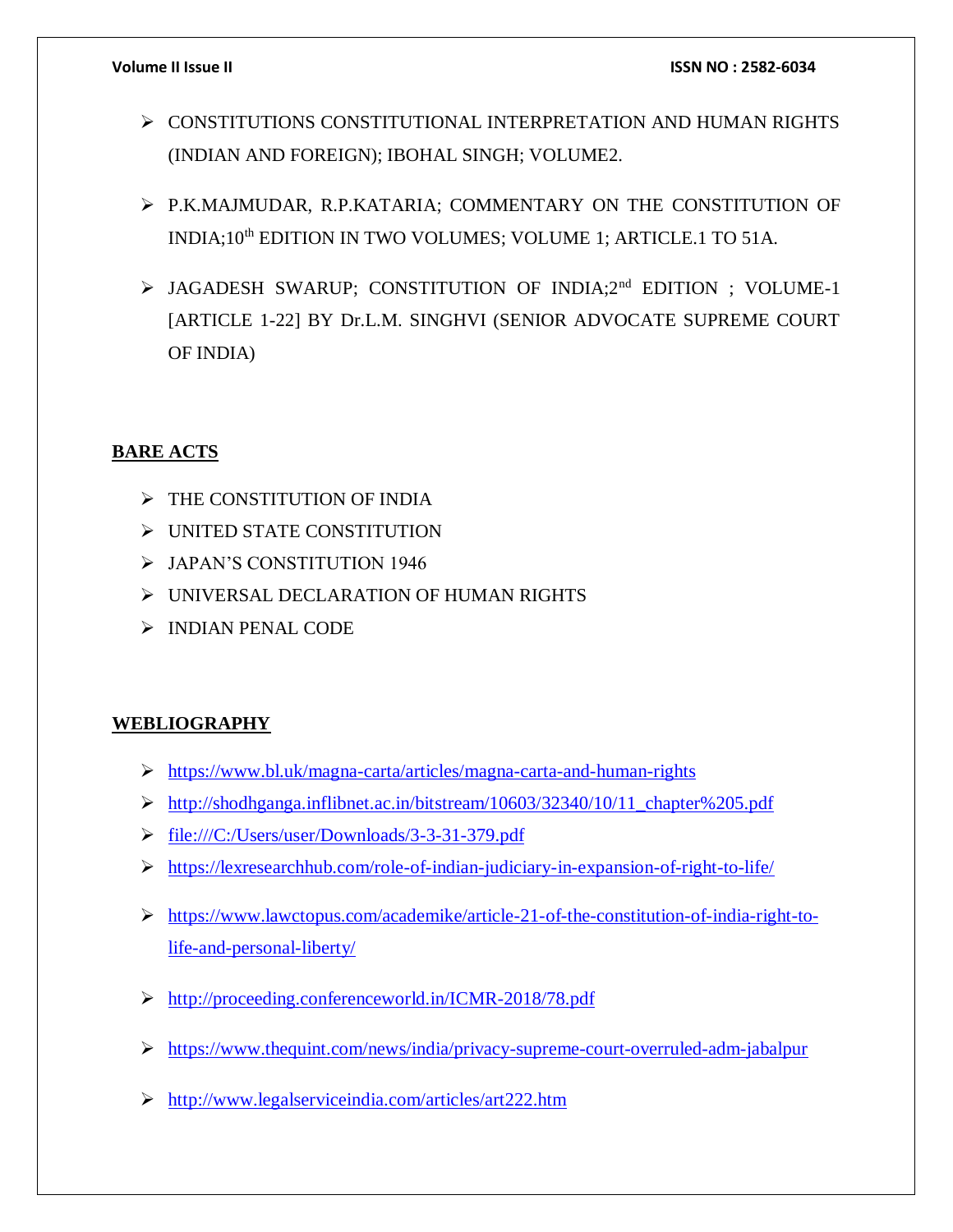- CONSTITUTIONS CONSTITUTIONAL INTERPRETATION AND HUMAN RIGHTS (INDIAN AND FOREIGN); IBOHAL SINGH; VOLUME2.
- P.K.MAJMUDAR, R.P.KATARIA; COMMENTARY ON THE CONSTITUTION OF INDIA;10<sup>th</sup> EDITION IN TWO VOLUMES; VOLUME 1; ARTICLE.1 TO 51A.
- > JAGADESH SWARUP; CONSTITUTION OF INDIA;2<sup>nd</sup> EDITION ; VOLUME-1 [ARTICLE 1-22] BY Dr.L.M. SINGHVI (SENIOR ADVOCATE SUPREME COURT OF INDIA)

# **BARE ACTS**

- $\triangleright$  THE CONSTITUTION OF INDIA
- UNITED STATE CONSTITUTION
- JAPAN'S CONSTITUTION 1946
- UNIVERSAL DECLARATION OF HUMAN RIGHTS
- $\triangleright$  INDIAN PENAL CODE

# **WEBLIOGRAPHY**

- <https://www.bl.uk/magna-carta/articles/magna-carta-and-human-rights>
- [http://shodhganga.inflibnet.ac.in/bitstream/10603/32340/10/11\\_chapter%205.pdf](http://shodhganga.inflibnet.ac.in/bitstream/10603/32340/10/11_chapter%205.pdf)
- <file:///C:/Users/user/Downloads/3-3-31-379.pdf>
- <https://lexresearchhub.com/role-of-indian-judiciary-in-expansion-of-right-to-life/>
- [https://www.lawctopus.com/academike/article-21-of-the-constitution-of-india-right-to](https://www.lawctopus.com/academike/article-21-of-the-constitution-of-india-right-to-life-and-personal-liberty/)[life-and-personal-liberty/](https://www.lawctopus.com/academike/article-21-of-the-constitution-of-india-right-to-life-and-personal-liberty/)
- <http://proceeding.conferenceworld.in/ICMR-2018/78.pdf>
- <https://www.thequint.com/news/india/privacy-supreme-court-overruled-adm-jabalpur>
- <http://www.legalserviceindia.com/articles/art222.htm>